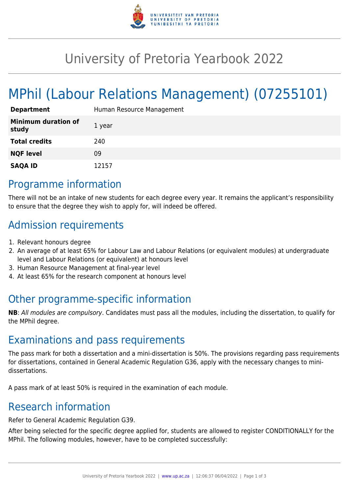

## University of Pretoria Yearbook 2022

# MPhil (Labour Relations Management) (07255101)

| <b>Department</b>                   | Human Resource Management |
|-------------------------------------|---------------------------|
| <b>Minimum duration of</b><br>study | 1 year                    |
| <b>Total credits</b>                | 240                       |
| <b>NQF level</b>                    | 09                        |
| <b>SAQA ID</b>                      | 12157                     |

#### Programme information

There will not be an intake of new students for each degree every year. It remains the applicant's responsibility to ensure that the degree they wish to apply for, will indeed be offered.

#### Admission requirements

- 1. Relevant honours degree
- 2. An average of at least 65% for Labour Law and Labour Relations (or equivalent modules) at undergraduate level and Labour Relations (or equivalent) at honours level
- 3. Human Resource Management at final-year level
- 4. At least 65% for the research component at honours level

### Other programme-specific information

**NB**: All modules are compulsory. Candidates must pass all the modules, including the dissertation, to qualify for the MPhil degree.

#### Examinations and pass requirements

The pass mark for both a dissertation and a mini-dissertation is 50%. The provisions regarding pass requirements for dissertations, contained in General Academic Regulation G36, apply with the necessary changes to minidissertations.

A pass mark of at least 50% is required in the examination of each module.

#### Research information

Refer to General Academic Regulation G39.

After being selected for the specific degree applied for, students are allowed to register CONDITIONALLY for the MPhil. The following modules, however, have to be completed successfully: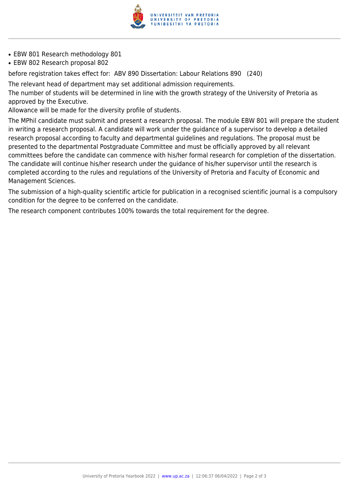

- EBW 801 Research methodology 801
- EBW 802 Research proposal 802

before registration takes effect for: ABV 890 Dissertation: Labour Relations 890 (240)

The relevant head of department may set additional admission requirements.

The number of students will be determined in line with the growth strategy of the University of Pretoria as approved by the Executive.

Allowance will be made for the diversity profile of students.

The MPhil candidate must submit and present a research proposal. The module EBW 801 will prepare the student in writing a research proposal. A candidate will work under the guidance of a supervisor to develop a detailed research proposal according to faculty and departmental guidelines and regulations. The proposal must be presented to the departmental Postgraduate Committee and must be officially approved by all relevant committees before the candidate can commence with his/her formal research for completion of the dissertation. The candidate will continue his/her research under the guidance of his/her supervisor until the research is completed according to the rules and regulations of the University of Pretoria and Faculty of Economic and Management Sciences.

The submission of a high-quality scientific article for publication in a recognised scientific journal is a compulsory condition for the degree to be conferred on the candidate.

The research component contributes 100% towards the total requirement for the degree.